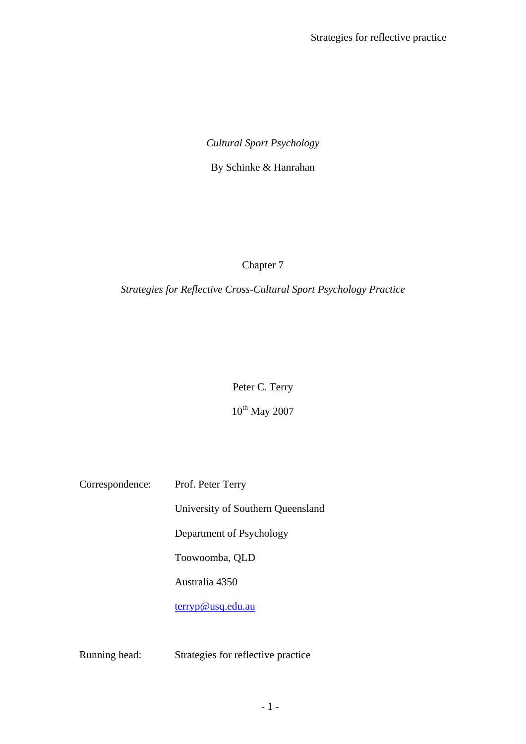# *Cultural Sport Psychology*

By Schinke & Hanrahan

Chapter 7

*Strategies for Reflective Cross-Cultural Sport Psychology Practice* 

Peter C. Terry

 $10^{\text{th}}$  May 2007

| Correspondence: | Prof. Peter Terry                 |
|-----------------|-----------------------------------|
|                 | University of Southern Queensland |
|                 | Department of Psychology          |
|                 | Toowoomba, QLD                    |
|                 | Australia 4350                    |
|                 | <u>terryp@usq.edu.au</u>          |
|                 |                                   |

Running head: Strategies for reflective practice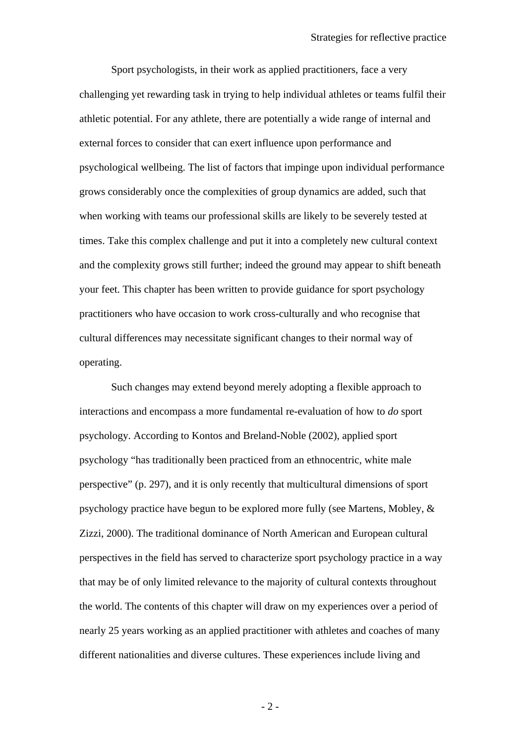Sport psychologists, in their work as applied practitioners, face a very challenging yet rewarding task in trying to help individual athletes or teams fulfil their athletic potential. For any athlete, there are potentially a wide range of internal and external forces to consider that can exert influence upon performance and psychological wellbeing. The list of factors that impinge upon individual performance grows considerably once the complexities of group dynamics are added, such that when working with teams our professional skills are likely to be severely tested at times. Take this complex challenge and put it into a completely new cultural context and the complexity grows still further; indeed the ground may appear to shift beneath your feet. This chapter has been written to provide guidance for sport psychology practitioners who have occasion to work cross-culturally and who recognise that cultural differences may necessitate significant changes to their normal way of operating.

Such changes may extend beyond merely adopting a flexible approach to interactions and encompass a more fundamental re-evaluation of how to *do* sport psychology. According to Kontos and Breland-Noble (2002), applied sport psychology "has traditionally been practiced from an ethnocentric, white male perspective" (p. 297), and it is only recently that multicultural dimensions of sport psychology practice have begun to be explored more fully (see Martens, Mobley, & Zizzi, 2000). The traditional dominance of North American and European cultural perspectives in the field has served to characterize sport psychology practice in a way that may be of only limited relevance to the majority of cultural contexts throughout the world. The contents of this chapter will draw on my experiences over a period of nearly 25 years working as an applied practitioner with athletes and coaches of many different nationalities and diverse cultures. These experiences include living and

- 2 -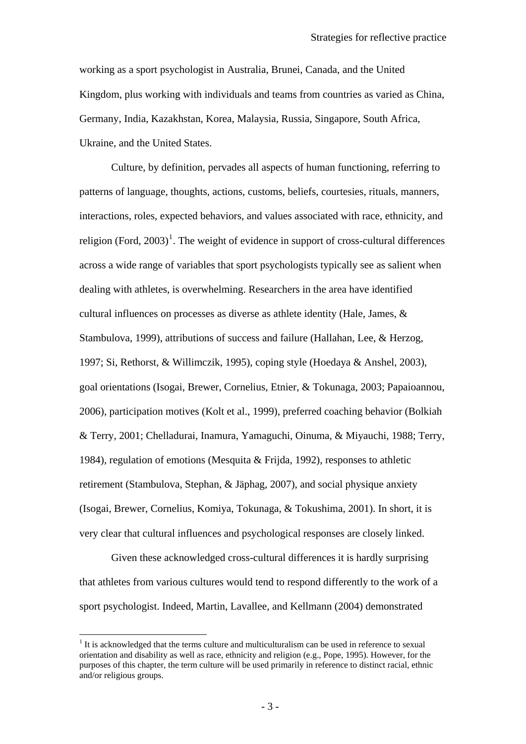<span id="page-2-0"></span>working as a sport psychologist in Australia, Brunei, Canada, and the United Kingdom, plus working with individuals and teams from countries as varied as China, Germany, India, Kazakhstan, Korea, Malaysia, Russia, Singapore, South Africa, Ukraine, and the United States.

Culture, by definition, pervades all aspects of human functioning, referring to patterns of language, thoughts, actions, customs, beliefs, courtesies, rituals, manners, interactions, roles, expected behaviors, and values associated with race, ethnicity, and religion (Ford,  $2003$ )<sup>[1](#page-2-0)</sup>. The weight of evidence in support of cross-cultural differences across a wide range of variables that sport psychologists typically see as salient when dealing with athletes, is overwhelming. Researchers in the area have identified cultural influences on processes as diverse as athlete identity (Hale, James, & Stambulova, 1999), attributions of success and failure (Hallahan, Lee, & Herzog, 1997; Si, Rethorst, & Willimczik, 1995), coping style (Hoedaya & Anshel, 2003), goal orientations (Isogai, Brewer, Cornelius, Etnier, & Tokunaga, 2003; Papaioannou, 2006), participation motives (Kolt et al., 1999), preferred coaching behavior (Bolkiah & Terry, 2001; Chelladurai, Inamura, Yamaguchi, Oinuma, & Miyauchi, 1988; Terry, 1984), regulation of emotions (Mesquita & Frijda, 1992), responses to athletic retirement (Stambulova, Stephan, & Jäphag, 2007), and social physique anxiety (Isogai, Brewer, Cornelius, Komiya, Tokunaga, & Tokushima, 2001). In short, it is very clear that cultural influences and psychological responses are closely linked.

Given these acknowledged cross-cultural differences it is hardly surprising that athletes from various cultures would tend to respond differently to the work of a sport psychologist. Indeed, Martin, Lavallee, and Kellmann (2004) demonstrated

 $\overline{a}$ 

 $<sup>1</sup>$  It is acknowledged that the terms culture and multiculturalism can be used in reference to sexual</sup> orientation and disability as well as race, ethnicity and religion (e.g., Pope, 1995). However, for the purposes of this chapter, the term culture will be used primarily in reference to distinct racial, ethnic and/or religious groups.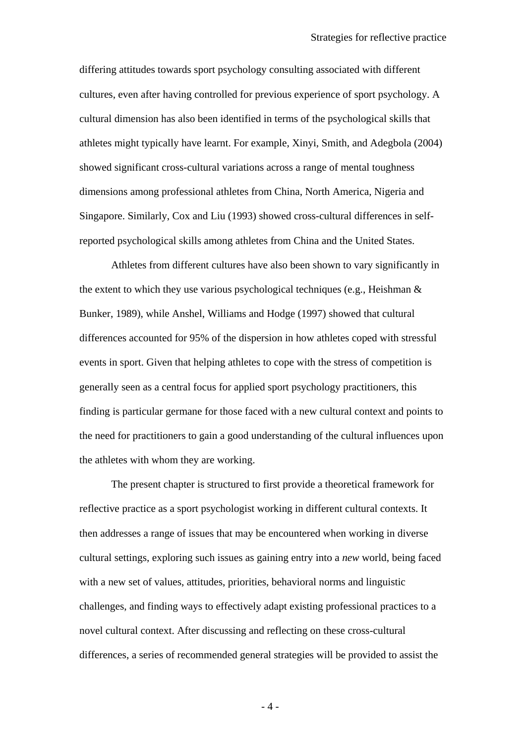differing attitudes towards sport psychology consulting associated with different cultures, even after having controlled for previous experience of sport psychology. A cultural dimension has also been identified in terms of the psychological skills that athletes might typically have learnt. For example, Xinyi, Smith, and Adegbola (2004) showed significant cross-cultural variations across a range of mental toughness dimensions among professional athletes from China, North America, Nigeria and Singapore. Similarly, Cox and Liu (1993) showed cross-cultural differences in selfreported psychological skills among athletes from China and the United States.

Athletes from different cultures have also been shown to vary significantly in the extent to which they use various psychological techniques (e.g., Heishman & Bunker, 1989), while Anshel, Williams and Hodge (1997) showed that cultural differences accounted for 95% of the dispersion in how athletes coped with stressful events in sport. Given that helping athletes to cope with the stress of competition is generally seen as a central focus for applied sport psychology practitioners, this finding is particular germane for those faced with a new cultural context and points to the need for practitioners to gain a good understanding of the cultural influences upon the athletes with whom they are working.

The present chapter is structured to first provide a theoretical framework for reflective practice as a sport psychologist working in different cultural contexts. It then addresses a range of issues that may be encountered when working in diverse cultural settings, exploring such issues as gaining entry into a *new* world, being faced with a new set of values, attitudes, priorities, behavioral norms and linguistic challenges, and finding ways to effectively adapt existing professional practices to a novel cultural context. After discussing and reflecting on these cross-cultural differences, a series of recommended general strategies will be provided to assist the

- 4 -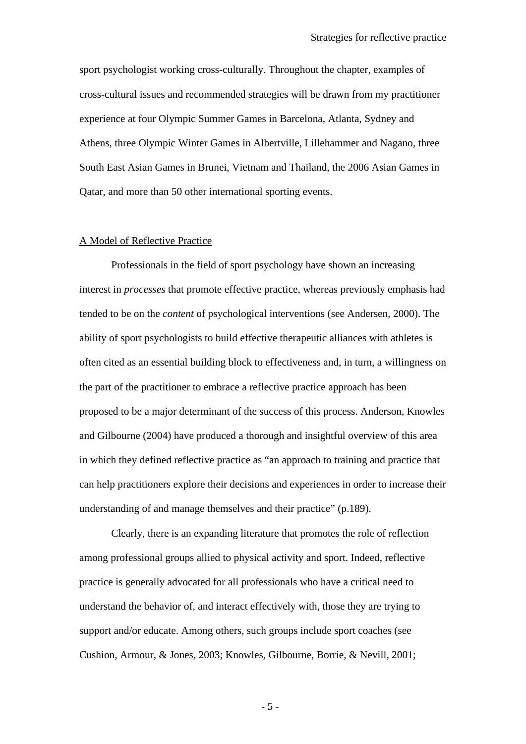sport psychologist working cross-culturally. Throughout the chapter, examples of cross-cultural issues and recommended strategies will be drawn from my practitioner experience at four Olympic Summer Games in Barcelona, Atlanta, Sydney and Athens, three Olympic Winter Games in Albertville, Lillehammer and Nagano, three South East Asian Games in Brunei, Vietnam and Thailand, the 2006 Asian Games in Qatar, and more than 50 other international sporting events.

## A Model of Reflective Practice

Professionals in the field of sport psychology have shown an increasing interest in *processes* that promote effective practice, whereas previously emphasis had tended to be on the *content* of psychological interventions (see Andersen, 2000). The ability of sport psychologists to build effective therapeutic alliances with athletes is often cited as an essential building block to effectiveness and, in turn, a willingness on the part of the practitioner to embrace a reflective practice approach has been proposed to be a major determinant of the success of this process. Anderson, Knowles and Gilbourne (2004) have produced a thorough and insightful overview of this area in which they defined reflective practice as "an approach to training and practice that can help practitioners explore their decisions and experiences in order to increase their understanding of and manage themselves and their practice" (p.189).

Clearly, there is an expanding literature that promotes the role of reflection among professional groups allied to physical activity and sport. Indeed, reflective practice is generally advocated for all professionals who have a critical need to understand the behavior of, and interact effectively with, those they are trying to support and/or educate. Among others, such groups include sport coaches (see Cushion, Armour, & Jones, 2003; Knowles, Gilbourne, Borrie, & Nevill, 2001;

- 5 -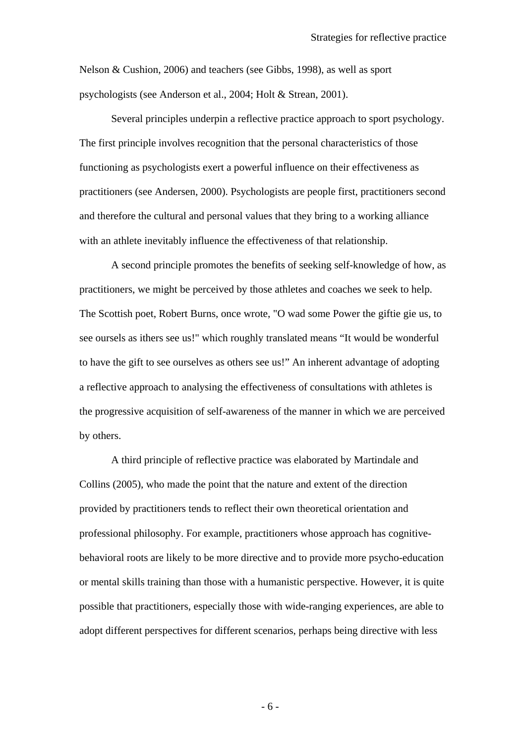Nelson & Cushion, 2006) and teachers (see Gibbs, 1998), as well as sport psychologists (see Anderson et al., 2004; Holt & Strean, 2001).

Several principles underpin a reflective practice approach to sport psychology. The first principle involves recognition that the personal characteristics of those functioning as psychologists exert a powerful influence on their effectiveness as practitioners (see Andersen, 2000). Psychologists are people first, practitioners second and therefore the cultural and personal values that they bring to a working alliance with an athlete inevitably influence the effectiveness of that relationship.

A second principle promotes the benefits of seeking self-knowledge of how, as practitioners, we might be perceived by those athletes and coaches we seek to help. The Scottish poet, Robert Burns, once wrote, "O wad some Power the giftie gie us, to see oursels as ithers see us!" which roughly translated means "It would be wonderful to have the gift to see ourselves as others see us!" An inherent advantage of adopting a reflective approach to analysing the effectiveness of consultations with athletes is the progressive acquisition of self-awareness of the manner in which we are perceived by others.

A third principle of reflective practice was elaborated by Martindale and Collins (2005), who made the point that the nature and extent of the direction provided by practitioners tends to reflect their own theoretical orientation and professional philosophy. For example, practitioners whose approach has cognitivebehavioral roots are likely to be more directive and to provide more psycho-education or mental skills training than those with a humanistic perspective. However, it is quite possible that practitioners, especially those with wide-ranging experiences, are able to adopt different perspectives for different scenarios, perhaps being directive with less

- 6 -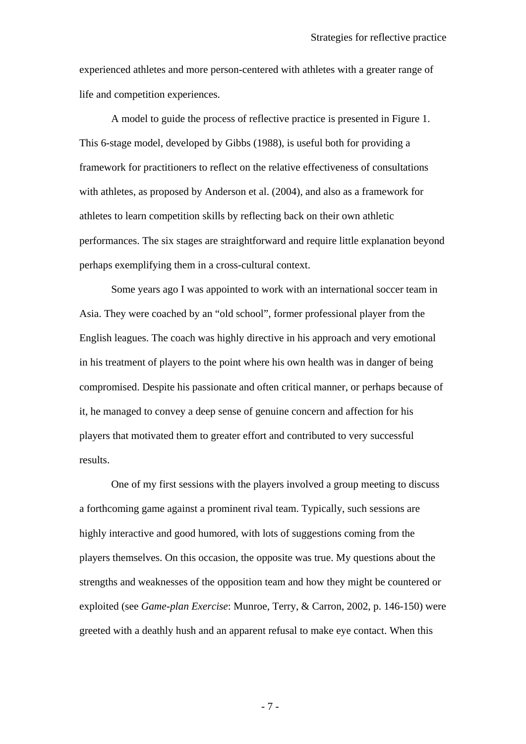experienced athletes and more person-centered with athletes with a greater range of life and competition experiences.

A model to guide the process of reflective practice is presented in Figure 1. This 6-stage model, developed by Gibbs (1988), is useful both for providing a framework for practitioners to reflect on the relative effectiveness of consultations with athletes, as proposed by Anderson et al. (2004), and also as a framework for athletes to learn competition skills by reflecting back on their own athletic performances. The six stages are straightforward and require little explanation beyond perhaps exemplifying them in a cross-cultural context.

Some years ago I was appointed to work with an international soccer team in Asia. They were coached by an "old school", former professional player from the English leagues. The coach was highly directive in his approach and very emotional in his treatment of players to the point where his own health was in danger of being compromised. Despite his passionate and often critical manner, or perhaps because of it, he managed to convey a deep sense of genuine concern and affection for his players that motivated them to greater effort and contributed to very successful results.

One of my first sessions with the players involved a group meeting to discuss a forthcoming game against a prominent rival team. Typically, such sessions are highly interactive and good humored, with lots of suggestions coming from the players themselves. On this occasion, the opposite was true. My questions about the strengths and weaknesses of the opposition team and how they might be countered or exploited (see *Game-plan Exercise*: Munroe, Terry, & Carron, 2002, p. 146-150) were greeted with a deathly hush and an apparent refusal to make eye contact. When this

- 7 -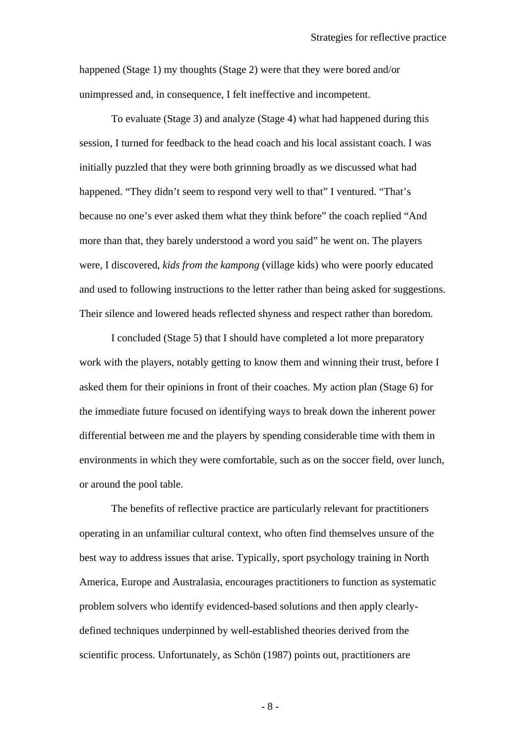happened (Stage 1) my thoughts (Stage 2) were that they were bored and/or unimpressed and, in consequence, I felt ineffective and incompetent.

To evaluate (Stage 3) and analyze (Stage 4) what had happened during this session, I turned for feedback to the head coach and his local assistant coach. I was initially puzzled that they were both grinning broadly as we discussed what had happened. "They didn't seem to respond very well to that" I ventured. "That's because no one's ever asked them what they think before" the coach replied "And more than that, they barely understood a word you said" he went on. The players were, I discovered, *kids from the kampong* (village kids) who were poorly educated and used to following instructions to the letter rather than being asked for suggestions. Their silence and lowered heads reflected shyness and respect rather than boredom.

I concluded (Stage 5) that I should have completed a lot more preparatory work with the players, notably getting to know them and winning their trust, before I asked them for their opinions in front of their coaches. My action plan (Stage 6) for the immediate future focused on identifying ways to break down the inherent power differential between me and the players by spending considerable time with them in environments in which they were comfortable, such as on the soccer field, over lunch, or around the pool table.

The benefits of reflective practice are particularly relevant for practitioners operating in an unfamiliar cultural context, who often find themselves unsure of the best way to address issues that arise. Typically, sport psychology training in North America, Europe and Australasia, encourages practitioners to function as systematic problem solvers who identify evidenced-based solutions and then apply clearlydefined techniques underpinned by well-established theories derived from the scientific process. Unfortunately, as Schön (1987) points out, practitioners are

- 8 -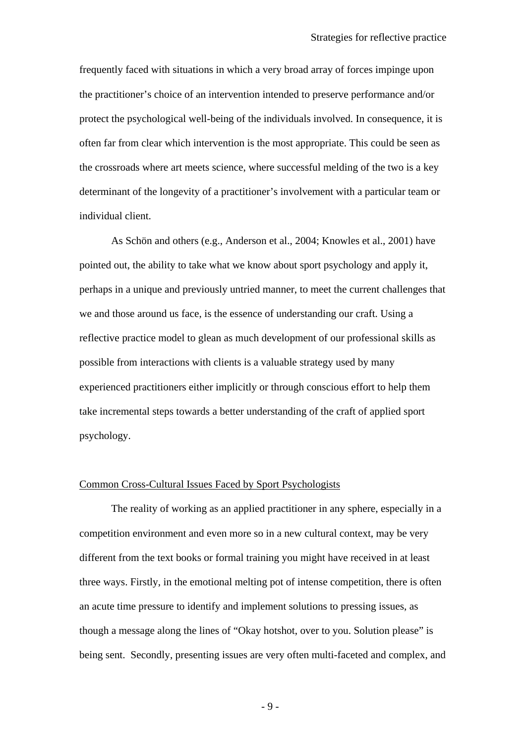frequently faced with situations in which a very broad array of forces impinge upon the practitioner's choice of an intervention intended to preserve performance and/or protect the psychological well-being of the individuals involved. In consequence, it is often far from clear which intervention is the most appropriate. This could be seen as the crossroads where art meets science, where successful melding of the two is a key determinant of the longevity of a practitioner's involvement with a particular team or individual client.

As Schön and others (e.g., Anderson et al., 2004; Knowles et al., 2001) have pointed out, the ability to take what we know about sport psychology and apply it, perhaps in a unique and previously untried manner, to meet the current challenges that we and those around us face, is the essence of understanding our craft. Using a reflective practice model to glean as much development of our professional skills as possible from interactions with clients is a valuable strategy used by many experienced practitioners either implicitly or through conscious effort to help them take incremental steps towards a better understanding of the craft of applied sport psychology.

## Common Cross-Cultural Issues Faced by Sport Psychologists

The reality of working as an applied practitioner in any sphere, especially in a competition environment and even more so in a new cultural context, may be very different from the text books or formal training you might have received in at least three ways. Firstly, in the emotional melting pot of intense competition, there is often an acute time pressure to identify and implement solutions to pressing issues, as though a message along the lines of "Okay hotshot, over to you. Solution please" is being sent. Secondly, presenting issues are very often multi-faceted and complex, and

- 9 -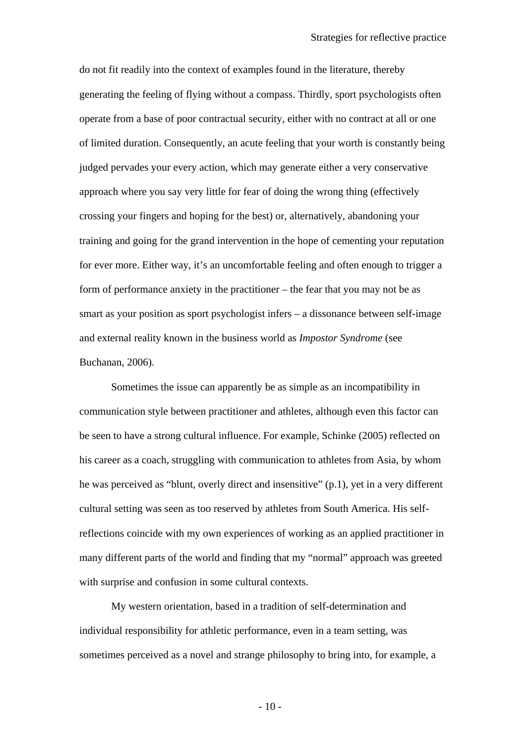do not fit readily into the context of examples found in the literature, thereby generating the feeling of flying without a compass. Thirdly, sport psychologists often operate from a base of poor contractual security, either with no contract at all or one of limited duration. Consequently, an acute feeling that your worth is constantly being judged pervades your every action, which may generate either a very conservative approach where you say very little for fear of doing the wrong thing (effectively crossing your fingers and hoping for the best) or, alternatively, abandoning your training and going for the grand intervention in the hope of cementing your reputation for ever more. Either way, it's an uncomfortable feeling and often enough to trigger a form of performance anxiety in the practitioner – the fear that you may not be as smart as your position as sport psychologist infers – a dissonance between self-image and external reality known in the business world as *Impostor Syndrome* (see Buchanan, 2006).

Sometimes the issue can apparently be as simple as an incompatibility in communication style between practitioner and athletes, although even this factor can be seen to have a strong cultural influence. For example, Schinke (2005) reflected on his career as a coach, struggling with communication to athletes from Asia, by whom he was perceived as "blunt, overly direct and insensitive" (p.1), yet in a very different cultural setting was seen as too reserved by athletes from South America. His selfreflections coincide with my own experiences of working as an applied practitioner in many different parts of the world and finding that my "normal" approach was greeted with surprise and confusion in some cultural contexts.

My western orientation, based in a tradition of self-determination and individual responsibility for athletic performance, even in a team setting, was sometimes perceived as a novel and strange philosophy to bring into, for example, a

 $-10-$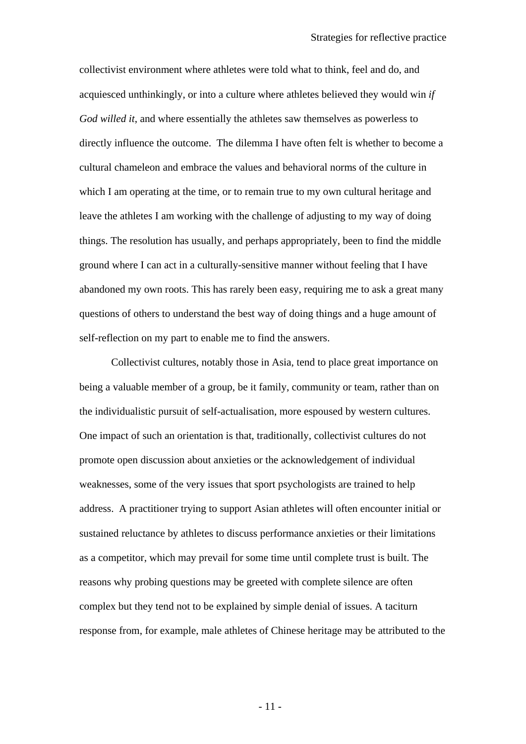collectivist environment where athletes were told what to think, feel and do, and acquiesced unthinkingly, or into a culture where athletes believed they would win *if God willed it*, and where essentially the athletes saw themselves as powerless to directly influence the outcome. The dilemma I have often felt is whether to become a cultural chameleon and embrace the values and behavioral norms of the culture in which I am operating at the time, or to remain true to my own cultural heritage and leave the athletes I am working with the challenge of adjusting to my way of doing things. The resolution has usually, and perhaps appropriately, been to find the middle ground where I can act in a culturally-sensitive manner without feeling that I have abandoned my own roots. This has rarely been easy, requiring me to ask a great many questions of others to understand the best way of doing things and a huge amount of self-reflection on my part to enable me to find the answers.

Collectivist cultures, notably those in Asia, tend to place great importance on being a valuable member of a group, be it family, community or team, rather than on the individualistic pursuit of self-actualisation, more espoused by western cultures. One impact of such an orientation is that, traditionally, collectivist cultures do not promote open discussion about anxieties or the acknowledgement of individual weaknesses, some of the very issues that sport psychologists are trained to help address. A practitioner trying to support Asian athletes will often encounter initial or sustained reluctance by athletes to discuss performance anxieties or their limitations as a competitor, which may prevail for some time until complete trust is built. The reasons why probing questions may be greeted with complete silence are often complex but they tend not to be explained by simple denial of issues. A taciturn response from, for example, male athletes of Chinese heritage may be attributed to the

- 11 -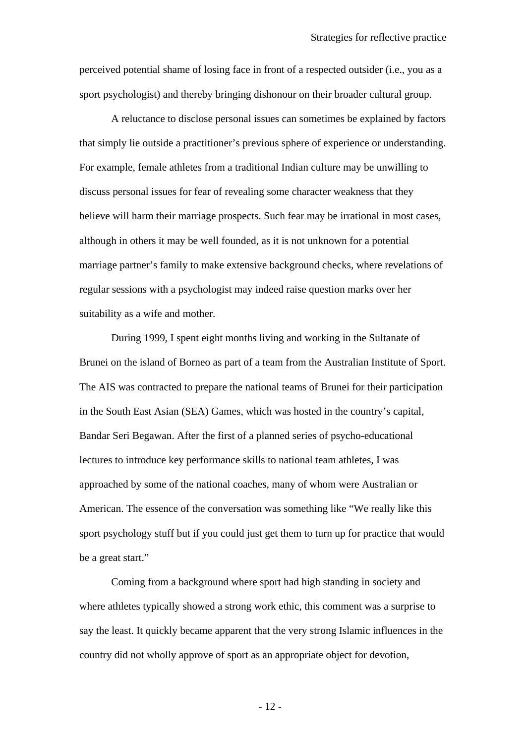perceived potential shame of losing face in front of a respected outsider (i.e., you as a sport psychologist) and thereby bringing dishonour on their broader cultural group.

A reluctance to disclose personal issues can sometimes be explained by factors that simply lie outside a practitioner's previous sphere of experience or understanding. For example, female athletes from a traditional Indian culture may be unwilling to discuss personal issues for fear of revealing some character weakness that they believe will harm their marriage prospects. Such fear may be irrational in most cases, although in others it may be well founded, as it is not unknown for a potential marriage partner's family to make extensive background checks, where revelations of regular sessions with a psychologist may indeed raise question marks over her suitability as a wife and mother.

During 1999, I spent eight months living and working in the Sultanate of Brunei on the island of Borneo as part of a team from the Australian Institute of Sport. The AIS was contracted to prepare the national teams of Brunei for their participation in the South East Asian (SEA) Games, which was hosted in the country's capital, Bandar Seri Begawan. After the first of a planned series of psycho-educational lectures to introduce key performance skills to national team athletes, I was approached by some of the national coaches, many of whom were Australian or American. The essence of the conversation was something like "We really like this sport psychology stuff but if you could just get them to turn up for practice that would be a great start."

Coming from a background where sport had high standing in society and where athletes typically showed a strong work ethic, this comment was a surprise to say the least. It quickly became apparent that the very strong Islamic influences in the country did not wholly approve of sport as an appropriate object for devotion,

- 12 -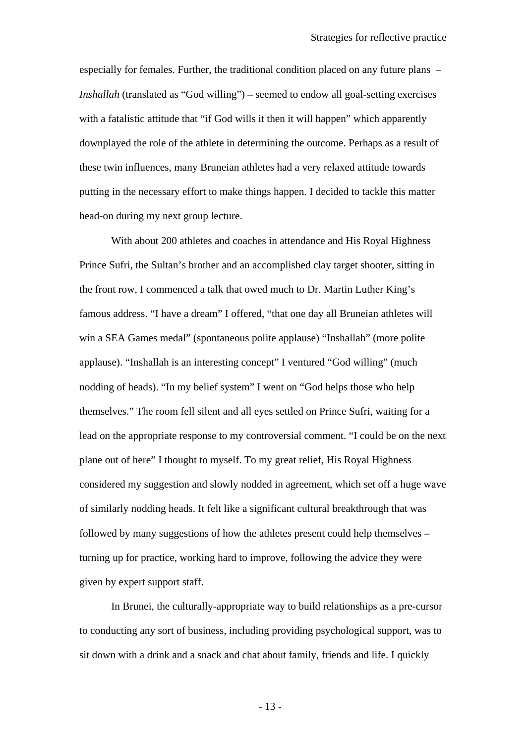especially for females. Further, the traditional condition placed on any future plans – *Inshallah* (translated as "God willing") – seemed to endow all goal-setting exercises with a fatalistic attitude that "if God wills it then it will happen" which apparently downplayed the role of the athlete in determining the outcome. Perhaps as a result of these twin influences, many Bruneian athletes had a very relaxed attitude towards putting in the necessary effort to make things happen. I decided to tackle this matter head-on during my next group lecture.

With about 200 athletes and coaches in attendance and His Royal Highness Prince Sufri, the Sultan's brother and an accomplished clay target shooter, sitting in the front row, I commenced a talk that owed much to Dr. Martin Luther King's famous address. "I have a dream" I offered, "that one day all Bruneian athletes will win a SEA Games medal" (spontaneous polite applause) "Inshallah" (more polite applause). "Inshallah is an interesting concept" I ventured "God willing" (much nodding of heads). "In my belief system" I went on "God helps those who help themselves." The room fell silent and all eyes settled on Prince Sufri, waiting for a lead on the appropriate response to my controversial comment. "I could be on the next plane out of here" I thought to myself. To my great relief, His Royal Highness considered my suggestion and slowly nodded in agreement, which set off a huge wave of similarly nodding heads. It felt like a significant cultural breakthrough that was followed by many suggestions of how the athletes present could help themselves – turning up for practice, working hard to improve, following the advice they were given by expert support staff.

In Brunei, the culturally-appropriate way to build relationships as a pre-cursor to conducting any sort of business, including providing psychological support, was to sit down with a drink and a snack and chat about family, friends and life. I quickly

- 13 -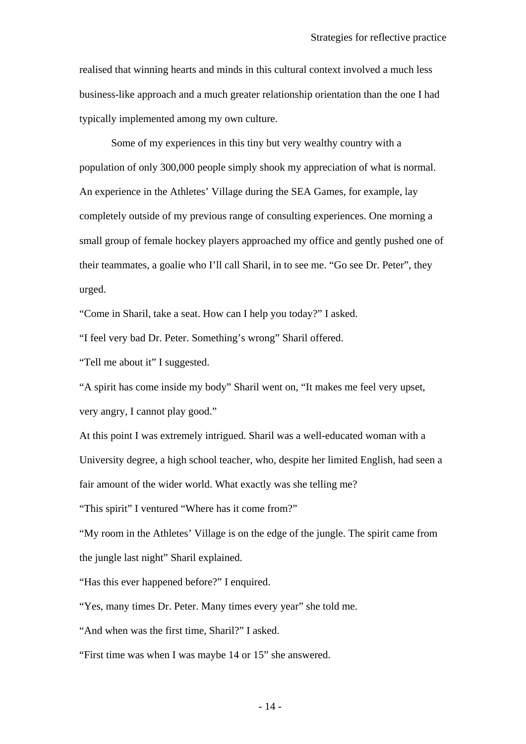realised that winning hearts and minds in this cultural context involved a much less business-like approach and a much greater relationship orientation than the one I had typically implemented among my own culture.

Some of my experiences in this tiny but very wealthy country with a population of only 300,000 people simply shook my appreciation of what is normal. An experience in the Athletes' Village during the SEA Games, for example, lay completely outside of my previous range of consulting experiences. One morning a small group of female hockey players approached my office and gently pushed one of their teammates, a goalie who I'll call Sharil, in to see me. "Go see Dr. Peter", they urged.

"Come in Sharil, take a seat. How can I help you today?" I asked.

"I feel very bad Dr. Peter. Something's wrong" Sharil offered.

"Tell me about it" I suggested.

"A spirit has come inside my body" Sharil went on, "It makes me feel very upset, very angry, I cannot play good."

At this point I was extremely intrigued. Sharil was a well-educated woman with a University degree, a high school teacher, who, despite her limited English, had seen a fair amount of the wider world. What exactly was she telling me?

"This spirit" I ventured "Where has it come from?"

"My room in the Athletes' Village is on the edge of the jungle. The spirit came from the jungle last night" Sharil explained.

"Has this ever happened before?" I enquired.

"Yes, many times Dr. Peter. Many times every year" she told me.

"And when was the first time, Sharil?" I asked.

"First time was when I was maybe 14 or 15" she answered.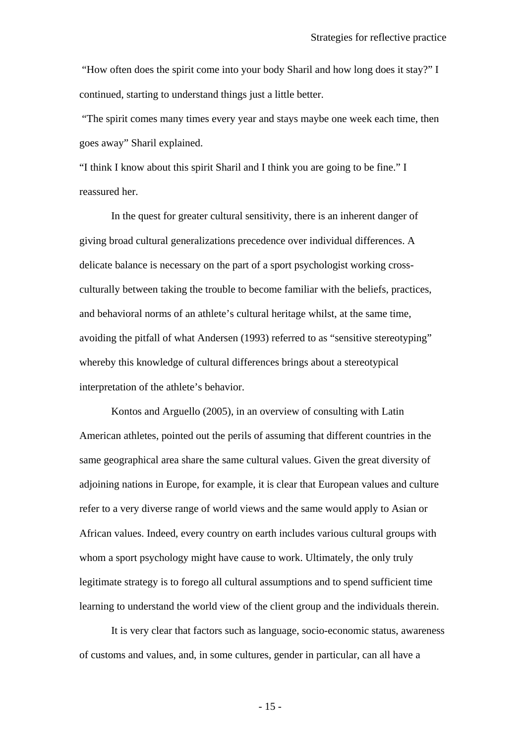"How often does the spirit come into your body Sharil and how long does it stay?" I continued, starting to understand things just a little better.

 "The spirit comes many times every year and stays maybe one week each time, then goes away" Sharil explained.

"I think I know about this spirit Sharil and I think you are going to be fine." I reassured her.

In the quest for greater cultural sensitivity, there is an inherent danger of giving broad cultural generalizations precedence over individual differences. A delicate balance is necessary on the part of a sport psychologist working crossculturally between taking the trouble to become familiar with the beliefs, practices, and behavioral norms of an athlete's cultural heritage whilst, at the same time, avoiding the pitfall of what Andersen (1993) referred to as "sensitive stereotyping" whereby this knowledge of cultural differences brings about a stereotypical interpretation of the athlete's behavior.

Kontos and Arguello (2005), in an overview of consulting with Latin American athletes, pointed out the perils of assuming that different countries in the same geographical area share the same cultural values. Given the great diversity of adjoining nations in Europe, for example, it is clear that European values and culture refer to a very diverse range of world views and the same would apply to Asian or African values. Indeed, every country on earth includes various cultural groups with whom a sport psychology might have cause to work. Ultimately, the only truly legitimate strategy is to forego all cultural assumptions and to spend sufficient time learning to understand the world view of the client group and the individuals therein.

It is very clear that factors such as language, socio-economic status, awareness of customs and values, and, in some cultures, gender in particular, can all have a

- 15 -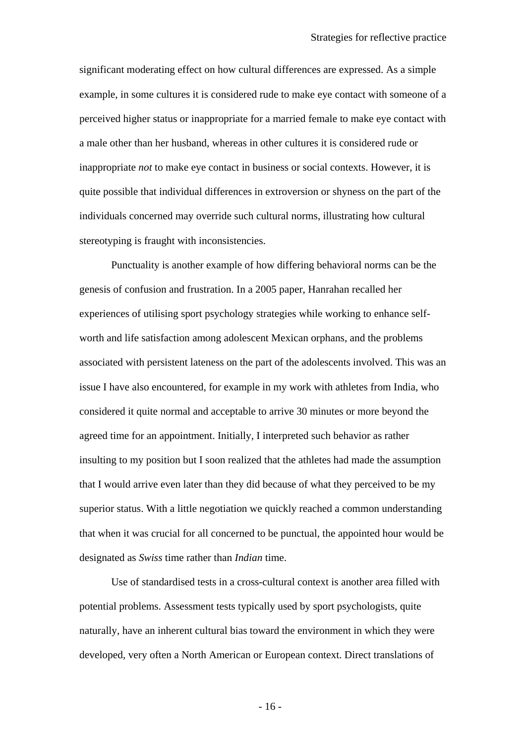significant moderating effect on how cultural differences are expressed. As a simple example, in some cultures it is considered rude to make eye contact with someone of a perceived higher status or inappropriate for a married female to make eye contact with a male other than her husband, whereas in other cultures it is considered rude or inappropriate *not* to make eye contact in business or social contexts. However, it is quite possible that individual differences in extroversion or shyness on the part of the individuals concerned may override such cultural norms, illustrating how cultural stereotyping is fraught with inconsistencies.

Punctuality is another example of how differing behavioral norms can be the genesis of confusion and frustration. In a 2005 paper, Hanrahan recalled her experiences of utilising sport psychology strategies while working to enhance selfworth and life satisfaction among adolescent Mexican orphans, and the problems associated with persistent lateness on the part of the adolescents involved. This was an issue I have also encountered, for example in my work with athletes from India, who considered it quite normal and acceptable to arrive 30 minutes or more beyond the agreed time for an appointment. Initially, I interpreted such behavior as rather insulting to my position but I soon realized that the athletes had made the assumption that I would arrive even later than they did because of what they perceived to be my superior status. With a little negotiation we quickly reached a common understanding that when it was crucial for all concerned to be punctual, the appointed hour would be designated as *Swiss* time rather than *Indian* time.

Use of standardised tests in a cross-cultural context is another area filled with potential problems. Assessment tests typically used by sport psychologists, quite naturally, have an inherent cultural bias toward the environment in which they were developed, very often a North American or European context. Direct translations of

- 16 -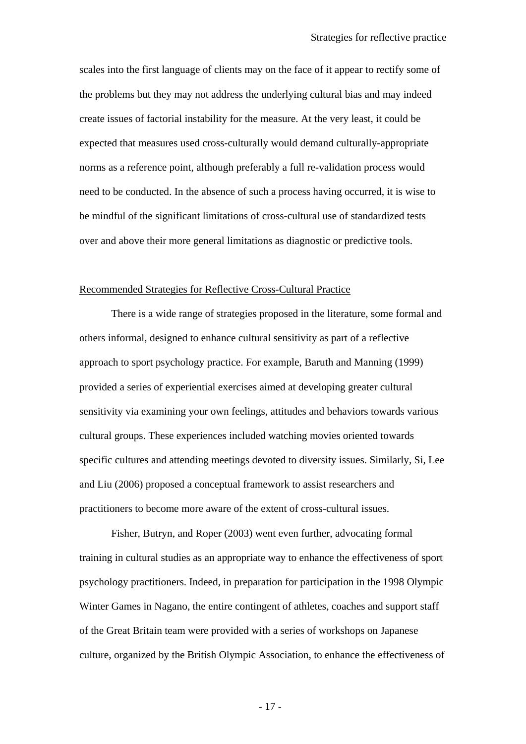scales into the first language of clients may on the face of it appear to rectify some of the problems but they may not address the underlying cultural bias and may indeed create issues of factorial instability for the measure. At the very least, it could be expected that measures used cross-culturally would demand culturally-appropriate norms as a reference point, although preferably a full re-validation process would need to be conducted. In the absence of such a process having occurred, it is wise to be mindful of the significant limitations of cross-cultural use of standardized tests over and above their more general limitations as diagnostic or predictive tools.

### Recommended Strategies for Reflective Cross-Cultural Practice

There is a wide range of strategies proposed in the literature, some formal and others informal, designed to enhance cultural sensitivity as part of a reflective approach to sport psychology practice. For example, Baruth and Manning (1999) provided a series of experiential exercises aimed at developing greater cultural sensitivity via examining your own feelings, attitudes and behaviors towards various cultural groups. These experiences included watching movies oriented towards specific cultures and attending meetings devoted to diversity issues. Similarly, Si, Lee and Liu (2006) proposed a conceptual framework to assist researchers and practitioners to become more aware of the extent of cross-cultural issues.

Fisher, Butryn, and Roper (2003) went even further, advocating formal training in cultural studies as an appropriate way to enhance the effectiveness of sport psychology practitioners. Indeed, in preparation for participation in the 1998 Olympic Winter Games in Nagano, the entire contingent of athletes, coaches and support staff of the Great Britain team were provided with a series of workshops on Japanese culture, organized by the British Olympic Association, to enhance the effectiveness of

- 17 -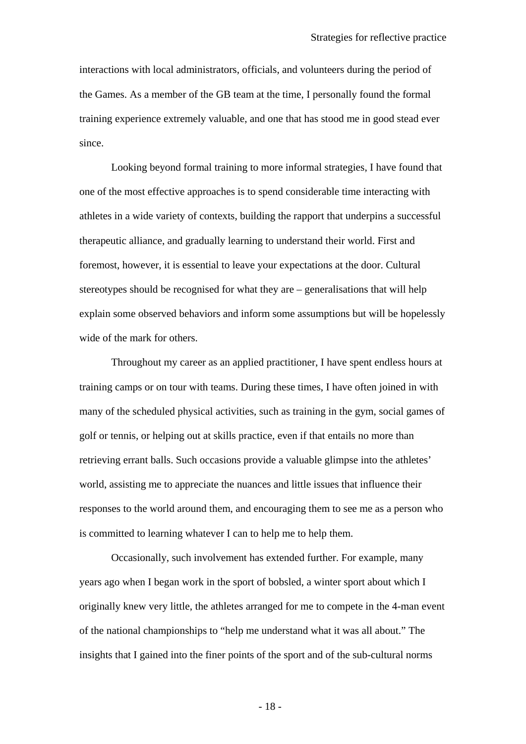interactions with local administrators, officials, and volunteers during the period of the Games. As a member of the GB team at the time, I personally found the formal training experience extremely valuable, and one that has stood me in good stead ever since.

Looking beyond formal training to more informal strategies, I have found that one of the most effective approaches is to spend considerable time interacting with athletes in a wide variety of contexts, building the rapport that underpins a successful therapeutic alliance, and gradually learning to understand their world. First and foremost, however, it is essential to leave your expectations at the door. Cultural stereotypes should be recognised for what they are – generalisations that will help explain some observed behaviors and inform some assumptions but will be hopelessly wide of the mark for others.

Throughout my career as an applied practitioner, I have spent endless hours at training camps or on tour with teams. During these times, I have often joined in with many of the scheduled physical activities, such as training in the gym, social games of golf or tennis, or helping out at skills practice, even if that entails no more than retrieving errant balls. Such occasions provide a valuable glimpse into the athletes' world, assisting me to appreciate the nuances and little issues that influence their responses to the world around them, and encouraging them to see me as a person who is committed to learning whatever I can to help me to help them.

Occasionally, such involvement has extended further. For example, many years ago when I began work in the sport of bobsled, a winter sport about which I originally knew very little, the athletes arranged for me to compete in the 4-man event of the national championships to "help me understand what it was all about." The insights that I gained into the finer points of the sport and of the sub-cultural norms

- 18 -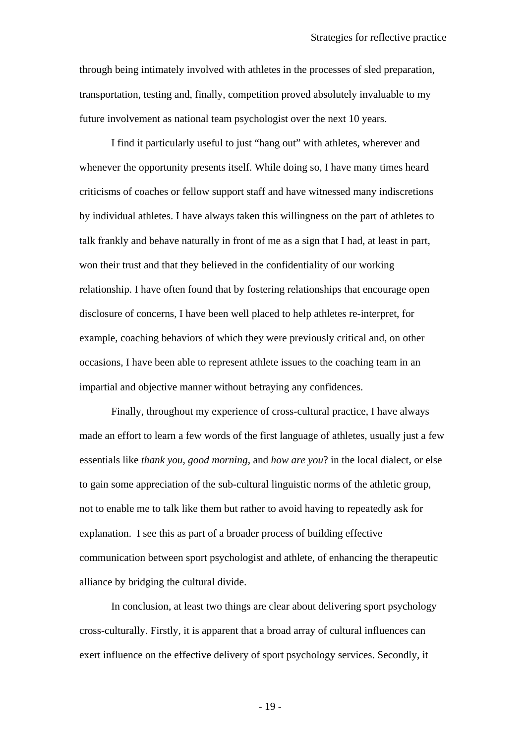through being intimately involved with athletes in the processes of sled preparation, transportation, testing and, finally, competition proved absolutely invaluable to my future involvement as national team psychologist over the next 10 years.

I find it particularly useful to just "hang out" with athletes, wherever and whenever the opportunity presents itself. While doing so, I have many times heard criticisms of coaches or fellow support staff and have witnessed many indiscretions by individual athletes. I have always taken this willingness on the part of athletes to talk frankly and behave naturally in front of me as a sign that I had, at least in part, won their trust and that they believed in the confidentiality of our working relationship. I have often found that by fostering relationships that encourage open disclosure of concerns, I have been well placed to help athletes re-interpret, for example, coaching behaviors of which they were previously critical and, on other occasions, I have been able to represent athlete issues to the coaching team in an impartial and objective manner without betraying any confidences.

Finally, throughout my experience of cross-cultural practice, I have always made an effort to learn a few words of the first language of athletes, usually just a few essentials like *thank you*, *good morning*, and *how are you*? in the local dialect, or else to gain some appreciation of the sub-cultural linguistic norms of the athletic group, not to enable me to talk like them but rather to avoid having to repeatedly ask for explanation. I see this as part of a broader process of building effective communication between sport psychologist and athlete, of enhancing the therapeutic alliance by bridging the cultural divide.

In conclusion, at least two things are clear about delivering sport psychology cross-culturally. Firstly, it is apparent that a broad array of cultural influences can exert influence on the effective delivery of sport psychology services. Secondly, it

- 19 -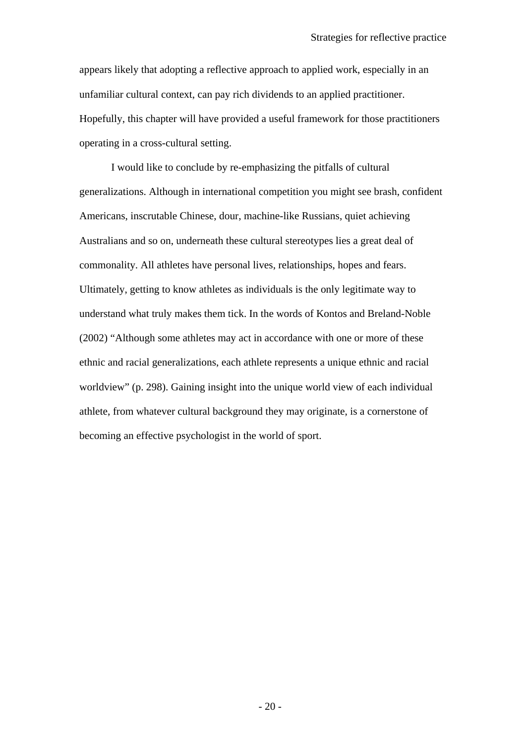appears likely that adopting a reflective approach to applied work, especially in an unfamiliar cultural context, can pay rich dividends to an applied practitioner. Hopefully, this chapter will have provided a useful framework for those practitioners operating in a cross-cultural setting.

I would like to conclude by re-emphasizing the pitfalls of cultural generalizations. Although in international competition you might see brash, confident Americans, inscrutable Chinese, dour, machine-like Russians, quiet achieving Australians and so on, underneath these cultural stereotypes lies a great deal of commonality. All athletes have personal lives, relationships, hopes and fears. Ultimately, getting to know athletes as individuals is the only legitimate way to understand what truly makes them tick. In the words of Kontos and Breland-Noble (2002) "Although some athletes may act in accordance with one or more of these ethnic and racial generalizations, each athlete represents a unique ethnic and racial worldview" (p. 298). Gaining insight into the unique world view of each individual athlete, from whatever cultural background they may originate, is a cornerstone of becoming an effective psychologist in the world of sport.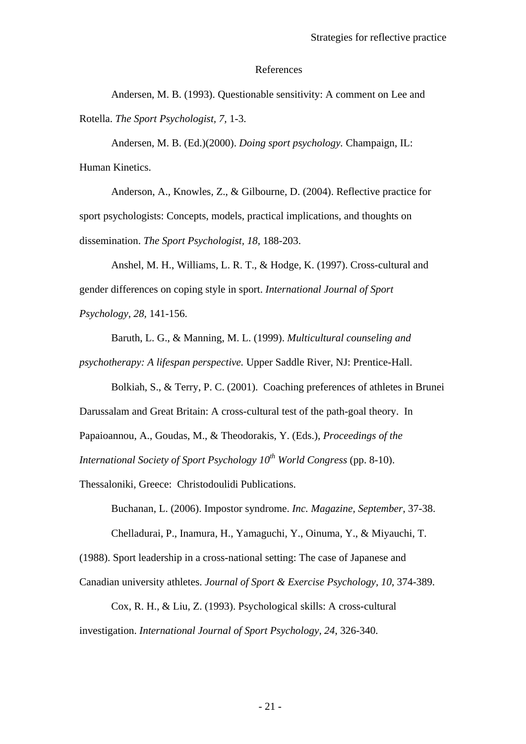### References

Andersen, M. B. (1993). Questionable sensitivity: A comment on Lee and Rotella. *The Sport Psychologist, 7,* 1-3.

Andersen, M. B. (Ed.)(2000). *Doing sport psychology.* Champaign, IL: Human Kinetics.

Anderson, A., Knowles, Z., & Gilbourne, D. (2004). Reflective practice for sport psychologists: Concepts, models, practical implications, and thoughts on dissemination. *The Sport Psychologist, 18,* 188-203.

Anshel, M. H., Williams, L. R. T., & Hodge, K. (1997). Cross-cultural and gender differences on coping style in sport. *International Journal of Sport Psychology, 28,* 141-156.

Baruth, L. G., & Manning, M. L. (1999). *Multicultural counseling and* 

*psychotherapy: A lifespan perspective.* Upper Saddle River, NJ: Prentice-Hall.

Bolkiah, S., & Terry, P. C. (2001). Coaching preferences of athletes in Brunei

Darussalam and Great Britain: A cross-cultural test of the path-goal theory. In

Papaioannou, A., Goudas, M., & Theodorakis, Y. (Eds.), *Proceedings of the* 

*International Society of Sport Psychology 10<sup>th</sup> World Congress (pp. 8-10).* 

Thessaloniki, Greece: Christodoulidi Publications.

Buchanan, L. (2006). Impostor syndrome. *Inc. Magazine, September*, 37-38. Chelladurai, P., Inamura, H., Yamaguchi, Y., Oinuma, Y., & Miyauchi, T.

(1988). Sport leadership in a cross-national setting: The case of Japanese and

Canadian university athletes. *Journal of Sport & Exercise Psychology, 10*, 374-389.

Cox, R. H., & Liu, Z. (1993). Psychological skills: A cross-cultural investigation. *International Journal of Sport Psychology, 24*, 326-340.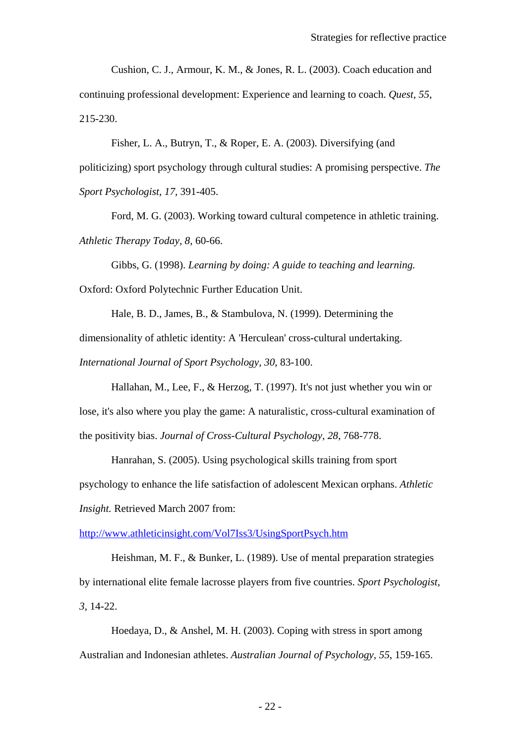Cushion, C. J., Armour, K. M., & Jones, R. L. (2003). Coach education and continuing professional development: Experience and learning to coach. *Quest, 55*, 215-230.

Fisher, L. A., Butryn, T., & Roper, E. A. (2003). Diversifying (and politicizing) sport psychology through cultural studies: A promising perspective. *The Sport Psychologist, 17,* 391-405.

Ford, M. G. (2003). Working toward cultural competence in athletic training. *Athletic Therapy Today, 8*, 60-66.

Gibbs, G. (1998). *Learning by doing: A guide to teaching and learning.* Oxford: Oxford Polytechnic Further Education Unit.

Hale, B. D., James, B., & Stambulova, N. (1999). Determining the dimensionality of athletic identity: A 'Herculean' cross-cultural undertaking. *International Journal of Sport Psychology, 30*, 83-100.

Hallahan, M., Lee, F., & Herzog, T. (1997). It's not just whether you win or lose, it's also where you play the game: A naturalistic, cross-cultural examination of the positivity bias. *Journal of Cross-Cultural Psychology, 28*, 768-778.

Hanrahan, S. (2005). Using psychological skills training from sport psychology to enhance the life satisfaction of adolescent Mexican orphans. *Athletic Insight.* Retrieved March 2007 from:

<http://www.athleticinsight.com/Vol7Iss3/UsingSportPsych.htm>

Heishman, M. F., & Bunker, L. (1989). Use of mental preparation strategies by international elite female lacrosse players from five countries. *Sport Psychologist, 3*, 14-22.

Hoedaya, D., & Anshel, M. H. (2003). Coping with stress in sport among Australian and Indonesian athletes. *Australian Journal of Psychology, 55*, 159-165.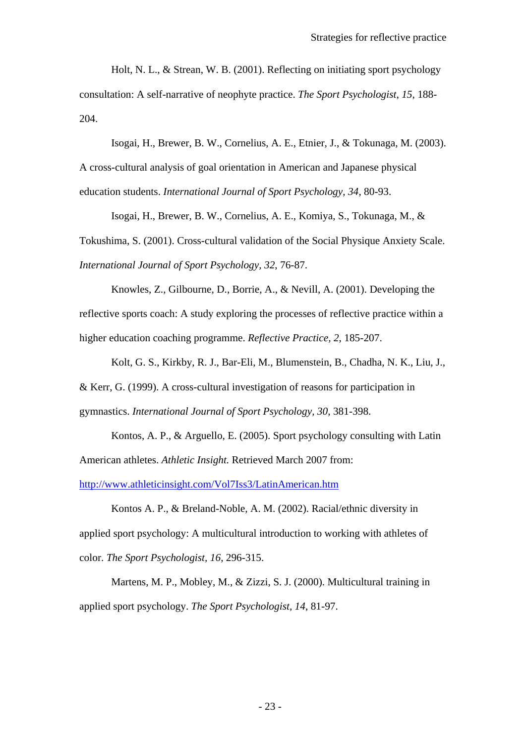Holt, N. L., & Strean, W. B. (2001). Reflecting on initiating sport psychology consultation: A self-narrative of neophyte practice. *The Sport Psychologist, 15*, 188- 204.

Isogai, H., Brewer, B. W., Cornelius, A. E., Etnier, J., & Tokunaga, M. (2003).

A cross-cultural analysis of goal orientation in American and Japanese physical education students. *International Journal of Sport Psychology, 34*, 80-93.

Isogai, H., Brewer, B. W., Cornelius, A. E., Komiya, S., Tokunaga, M., & Tokushima, S. (2001). Cross-cultural validation of the Social Physique Anxiety Scale. *International Journal of Sport Psychology, 32*, 76-87.

Knowles, Z., Gilbourne, D., Borrie, A., & Nevill, A. (2001). Developing the reflective sports coach: A study exploring the processes of reflective practice within a higher education coaching programme. *Reflective Practice, 2*, 185-207.

Kolt, G. S., Kirkby, R. J., Bar-Eli, M., Blumenstein, B., Chadha, N. K., Liu, J., & Kerr, G. (1999). A cross-cultural investigation of reasons for participation in gymnastics. *International Journal of Sport Psychology, 30*, 381-398.

Kontos, A. P., & Arguello, E. (2005). Sport psychology consulting with Latin American athletes. *Athletic Insight.* Retrieved March 2007 from: <http://www.athleticinsight.com/Vol7Iss3/LatinAmerican.htm>

Kontos A. P., & Breland-Noble, A. M. (2002). Racial/ethnic diversity in applied sport psychology: A multicultural introduction to working with athletes of color. *The Sport Psychologist, 16,* 296-315.

Martens, M. P., Mobley, M., & Zizzi, S. J. (2000). Multicultural training in applied sport psychology. *The Sport Psychologist, 14*, 81-97.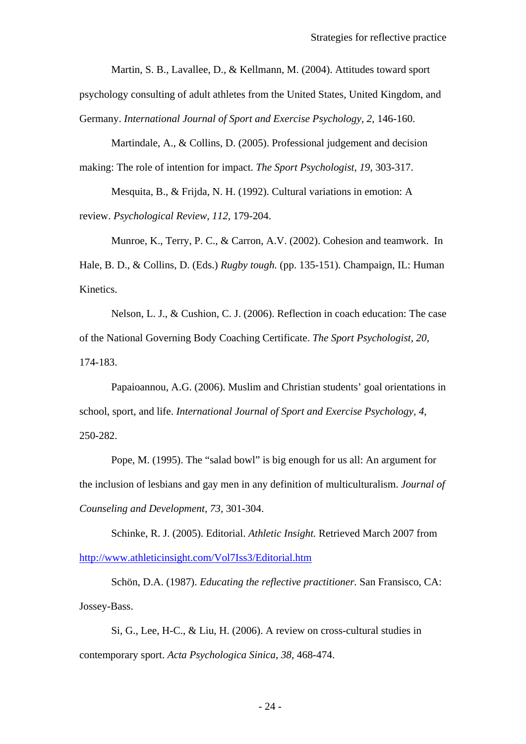Martin, S. B., Lavallee, D., & Kellmann, M. (2004). Attitudes toward sport psychology consulting of adult athletes from the United States, United Kingdom, and Germany. *International Journal of Sport and Exercise Psychology, 2*, 146-160.

Martindale, A., & Collins, D. (2005). Professional judgement and decision making: The role of intention for impact. *The Sport Psychologist, 19*, 303-317.

Mesquita, B., & Frijda, N. H. (1992). Cultural variations in emotion: A review. *Psychological Review, 112*, 179-204.

Munroe, K., Terry, P. C., & Carron, A.V. (2002). Cohesion and teamwork. In Hale, B. D., & Collins, D. (Eds.) *Rugby tough.* (pp. 135-151). Champaign, IL: Human Kinetics.

Nelson, L. J., & Cushion, C. J. (2006). Reflection in coach education: The case of the National Governing Body Coaching Certificate. *The Sport Psychologist, 20*, 174-183.

Papaioannou, A.G. (2006). Muslim and Christian students' goal orientations in school, sport, and life. *International Journal of Sport and Exercise Psychology, 4*, 250-282.

Pope, M. (1995). The "salad bowl" is big enough for us all: An argument for the inclusion of lesbians and gay men in any definition of multiculturalism. *Journal of Counseling and Development, 73,* 301-304.

Schinke, R. J. (2005). Editorial. *Athletic Insight.* Retrieved March 2007 from <http://www.athleticinsight.com/Vol7Iss3/Editorial.htm>

Schön, D.A. (1987). *Educating the reflective practitioner.* San Fransisco, CA: Jossey-Bass.

Si, G., Lee, H-C., & Liu, H. (2006). A review on cross-cultural studies in contemporary sport. *Acta Psychologica Sinica, 38*, 468-474.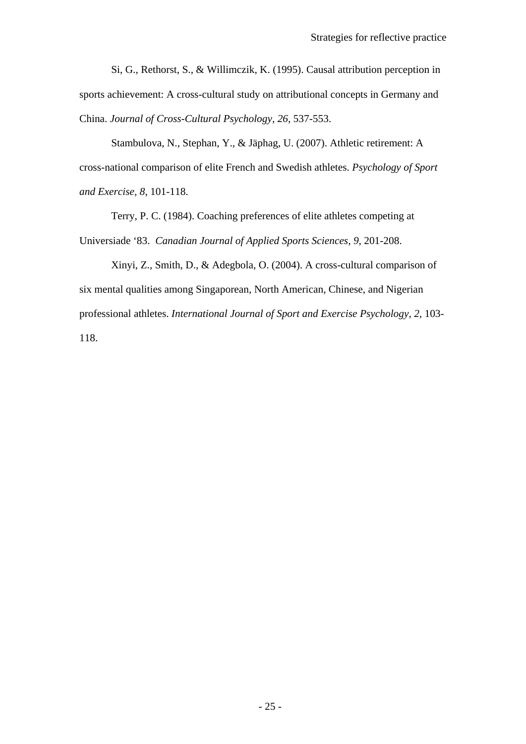Si, G., Rethorst, S., & Willimczik, K. (1995). Causal attribution perception in sports achievement: A cross-cultural study on attributional concepts in Germany and China. *Journal of Cross-Cultural Psychology, 26*, 537-553.

Stambulova, N., Stephan, Y., & Jäphag, U. (2007). Athletic retirement: A cross-national comparison of elite French and Swedish athletes. *Psychology of Sport and Exercise, 8*, 101-118.

Terry, P. C. (1984). Coaching preferences of elite athletes competing at Universiade '83. *Canadian Journal of Applied Sports Sciences, 9,* 201-208.

Xinyi, Z., Smith, D., & Adegbola, O. (2004). A cross-cultural comparison of six mental qualities among Singaporean, North American, Chinese, and Nigerian professional athletes. *International Journal of Sport and Exercise Psychology, 2*, 103- 118.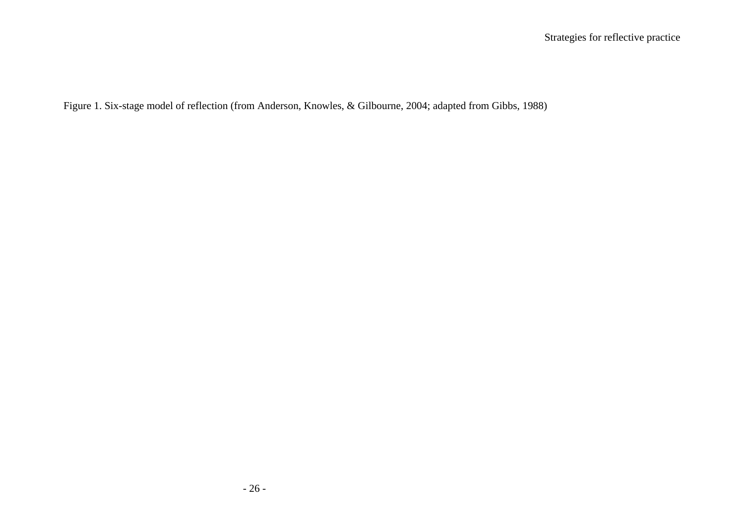Figure 1. Six-stage model of reflection (from Anderson, Knowles, & Gilbourne, 2004; adapted from Gibbs, 1988)